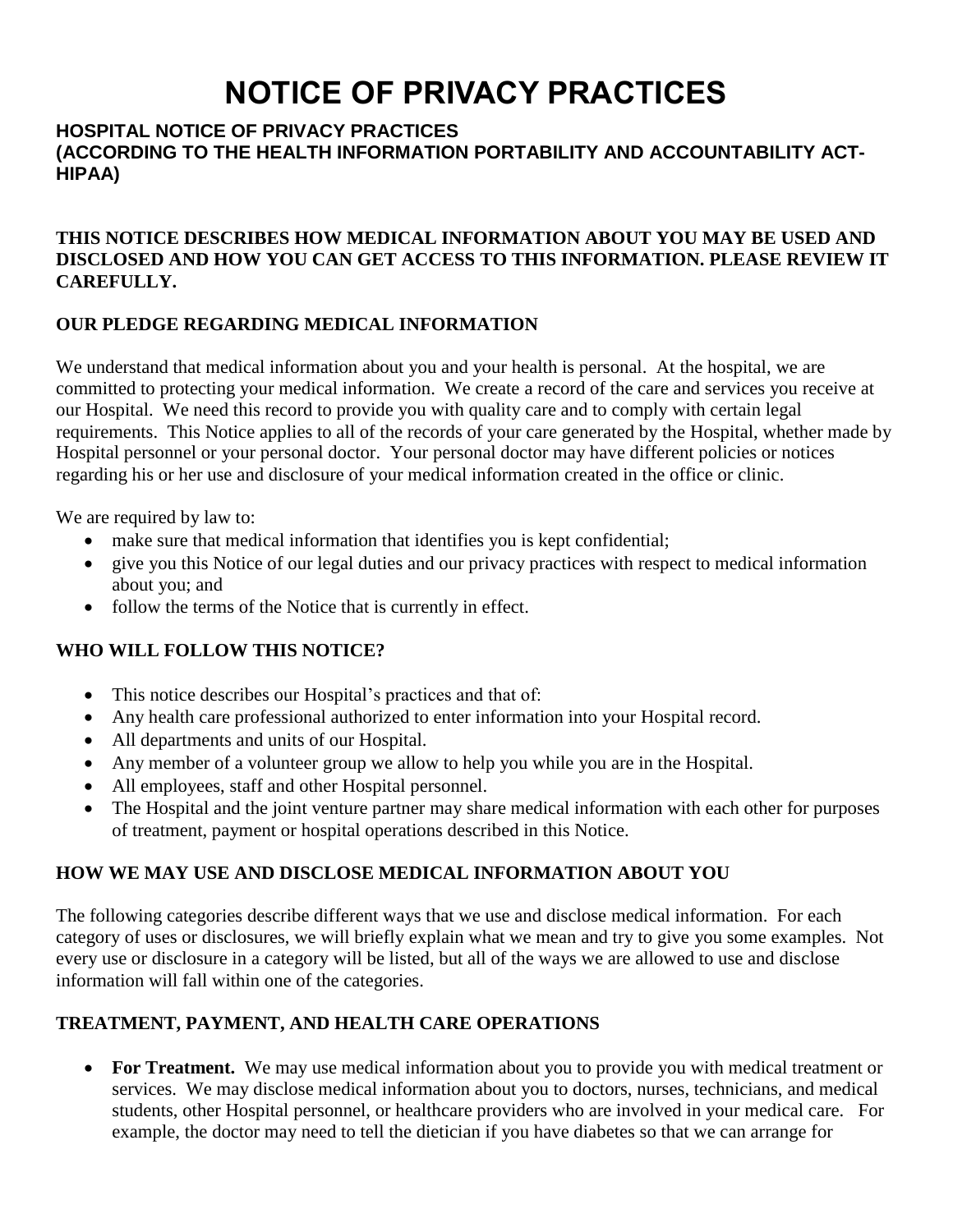# **NOTICE OF PRIVACY PRACTICES**

### **HOSPITAL NOTICE OF PRIVACY PRACTICES (ACCORDING TO THE HEALTH INFORMATION PORTABILITY AND ACCOUNTABILITY ACT-HIPAA)**

#### **THIS NOTICE DESCRIBES HOW MEDICAL INFORMATION ABOUT YOU MAY BE USED AND DISCLOSED AND HOW YOU CAN GET ACCESS TO THIS INFORMATION. PLEASE REVIEW IT CAREFULLY.**

#### **OUR PLEDGE REGARDING MEDICAL INFORMATION**

We understand that medical information about you and your health is personal. At the hospital, we are committed to protecting your medical information. We create a record of the care and services you receive at our Hospital. We need this record to provide you with quality care and to comply with certain legal requirements. This Notice applies to all of the records of your care generated by the Hospital, whether made by Hospital personnel or your personal doctor. Your personal doctor may have different policies or notices regarding his or her use and disclosure of your medical information created in the office or clinic.

We are required by law to:

- make sure that medical information that identifies you is kept confidential;
- give you this Notice of our legal duties and our privacy practices with respect to medical information about you; and
- follow the terms of the Notice that is currently in effect.

### **WHO WILL FOLLOW THIS NOTICE?**

- This notice describes our Hospital's practices and that of:
- Any health care professional authorized to enter information into your Hospital record.
- All departments and units of our Hospital.
- Any member of a volunteer group we allow to help you while you are in the Hospital.
- All employees, staff and other Hospital personnel.
- The Hospital and the joint venture partner may share medical information with each other for purposes of treatment, payment or hospital operations described in this Notice.

### **HOW WE MAY USE AND DISCLOSE MEDICAL INFORMATION ABOUT YOU**

The following categories describe different ways that we use and disclose medical information. For each category of uses or disclosures, we will briefly explain what we mean and try to give you some examples. Not every use or disclosure in a category will be listed, but all of the ways we are allowed to use and disclose information will fall within one of the categories.

### **TREATMENT, PAYMENT, AND HEALTH CARE OPERATIONS**

• For Treatment. We may use medical information about you to provide you with medical treatment or services. We may disclose medical information about you to doctors, nurses, technicians, and medical students, other Hospital personnel, or healthcare providers who are involved in your medical care. For example, the doctor may need to tell the dietician if you have diabetes so that we can arrange for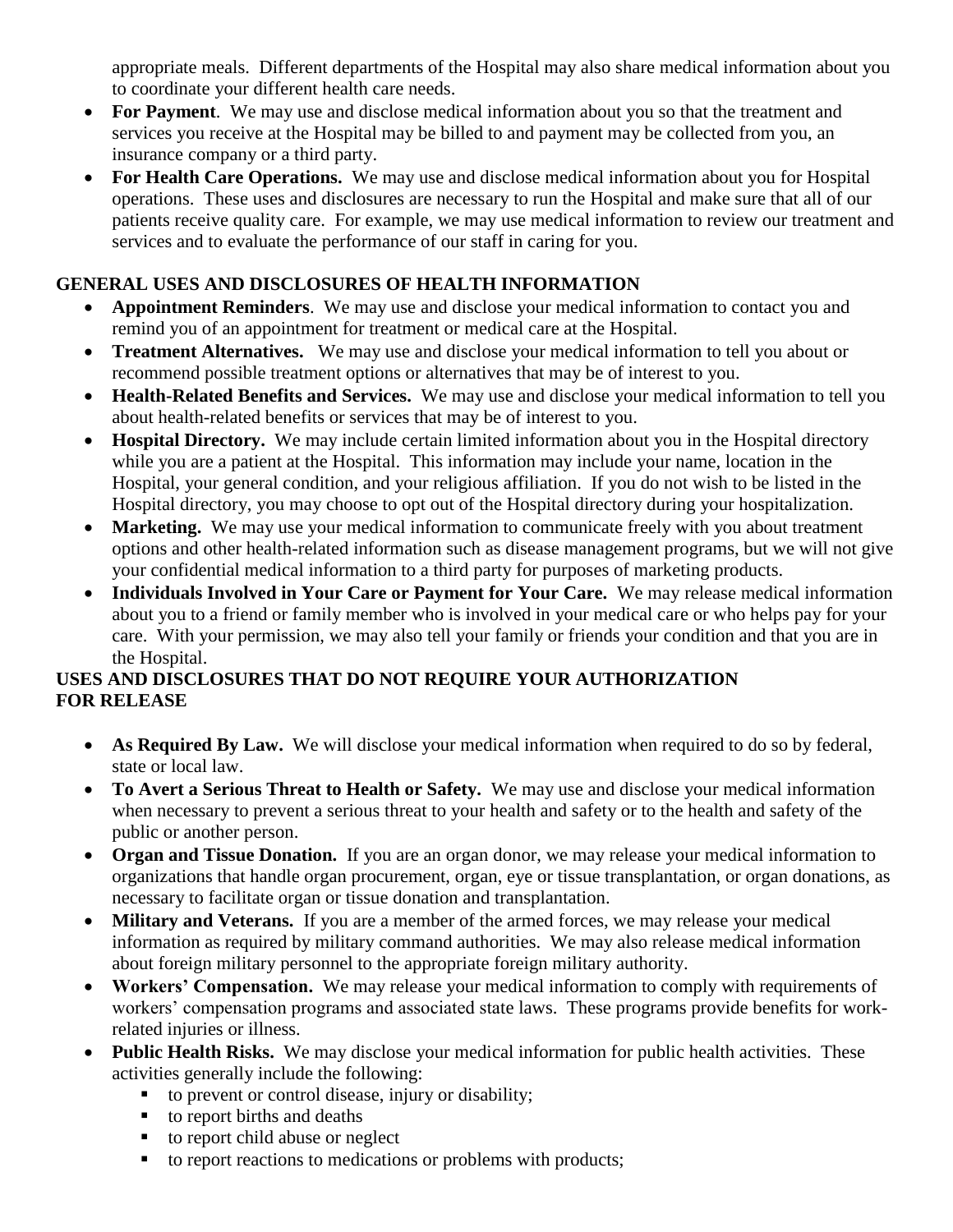appropriate meals. Different departments of the Hospital may also share medical information about you to coordinate your different health care needs.

- For Payment. We may use and disclose medical information about you so that the treatment and services you receive at the Hospital may be billed to and payment may be collected from you, an insurance company or a third party.
- **For Health Care Operations.** We may use and disclose medical information about you for Hospital operations. These uses and disclosures are necessary to run the Hospital and make sure that all of our patients receive quality care. For example, we may use medical information to review our treatment and services and to evaluate the performance of our staff in caring for you.

## **GENERAL USES AND DISCLOSURES OF HEALTH INFORMATION**

- **Appointment Reminders**. We may use and disclose your medical information to contact you and remind you of an appointment for treatment or medical care at the Hospital.
- **Treatment Alternatives.** We may use and disclose your medical information to tell you about or recommend possible treatment options or alternatives that may be of interest to you.
- **Health-Related Benefits and Services.** We may use and disclose your medical information to tell you about health-related benefits or services that may be of interest to you.
- **Hospital Directory.** We may include certain limited information about you in the Hospital directory while you are a patient at the Hospital. This information may include your name, location in the Hospital, your general condition, and your religious affiliation. If you do not wish to be listed in the Hospital directory, you may choose to opt out of the Hospital directory during your hospitalization.
- **Marketing.** We may use your medical information to communicate freely with you about treatment options and other health-related information such as disease management programs, but we will not give your confidential medical information to a third party for purposes of marketing products.
- **Individuals Involved in Your Care or Payment for Your Care.** We may release medical information about you to a friend or family member who is involved in your medical care or who helps pay for your care. With your permission, we may also tell your family or friends your condition and that you are in the Hospital.

## **USES AND DISCLOSURES THAT DO NOT REQUIRE YOUR AUTHORIZATION FOR RELEASE**

- As Required By Law. We will disclose your medical information when required to do so by federal, state or local law.
- **To Avert a Serious Threat to Health or Safety.** We may use and disclose your medical information when necessary to prevent a serious threat to your health and safety or to the health and safety of the public or another person.
- **Organ and Tissue Donation.** If you are an organ donor, we may release your medical information to organizations that handle organ procurement, organ, eye or tissue transplantation, or organ donations, as necessary to facilitate organ or tissue donation and transplantation.
- **Military and Veterans.** If you are a member of the armed forces, we may release your medical information as required by military command authorities. We may also release medical information about foreign military personnel to the appropriate foreign military authority.
- **Workers' Compensation.** We may release your medical information to comply with requirements of workers' compensation programs and associated state laws. These programs provide benefits for workrelated injuries or illness.
- **Public Health Risks.** We may disclose your medical information for public health activities. These activities generally include the following:
	- to prevent or control disease, injury or disability;
	- $\blacksquare$  to report births and deaths
	- to report child abuse or neglect
	- to report reactions to medications or problems with products;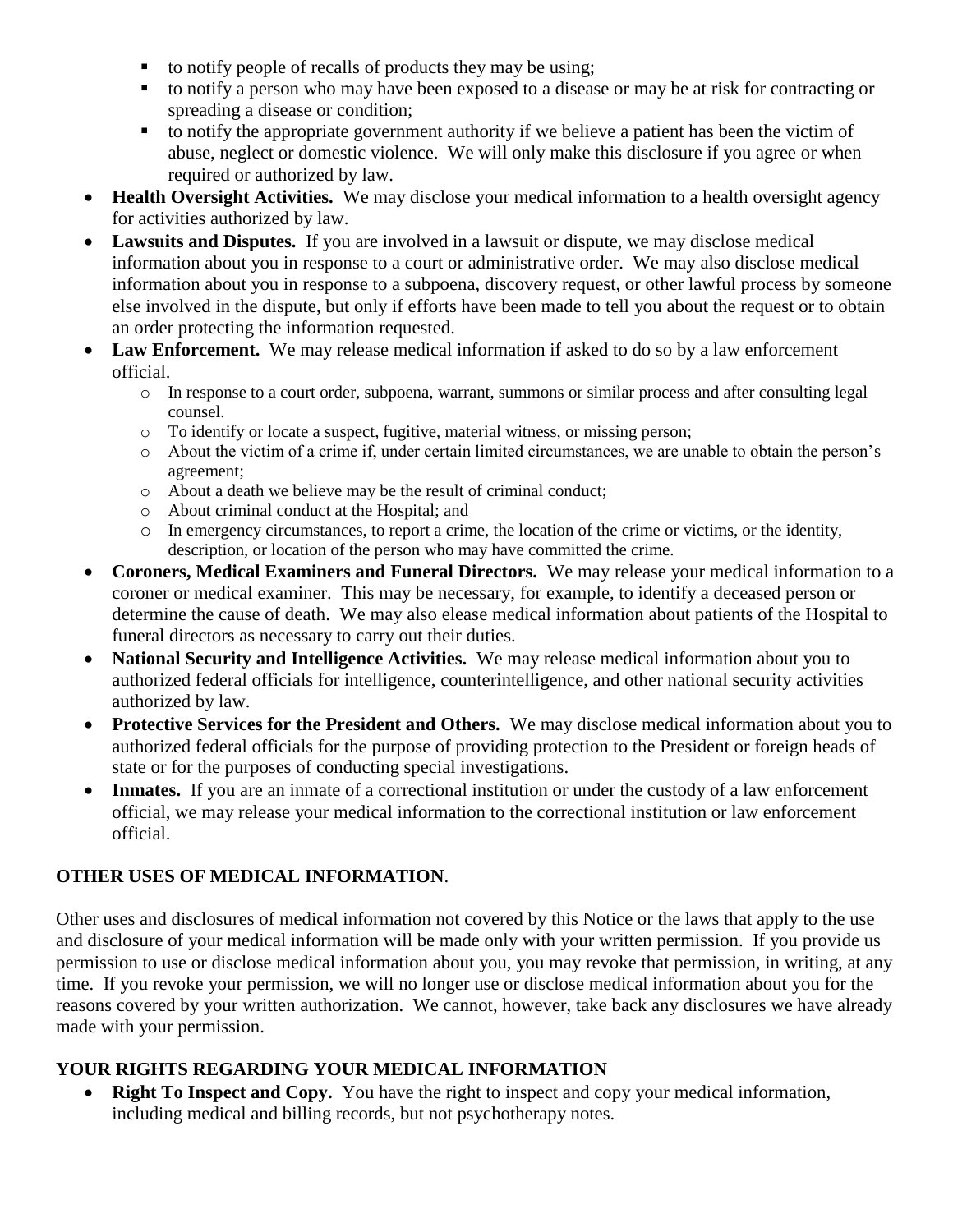- to notify people of recalls of products they may be using;
- to notify a person who may have been exposed to a disease or may be at risk for contracting or spreading a disease or condition;
- to notify the appropriate government authority if we believe a patient has been the victim of abuse, neglect or domestic violence. We will only make this disclosure if you agree or when required or authorized by law.
- **Health Oversight Activities.** We may disclose your medical information to a health oversight agency for activities authorized by law.
- **Lawsuits and Disputes.** If you are involved in a lawsuit or dispute, we may disclose medical information about you in response to a court or administrative order. We may also disclose medical information about you in response to a subpoena, discovery request, or other lawful process by someone else involved in the dispute, but only if efforts have been made to tell you about the request or to obtain an order protecting the information requested.
- Law Enforcement. We may release medical information if asked to do so by a law enforcement official.
	- o In response to a court order, subpoena, warrant, summons or similar process and after consulting legal counsel.
	- o To identify or locate a suspect, fugitive, material witness, or missing person;
	- o About the victim of a crime if, under certain limited circumstances, we are unable to obtain the person's agreement;
	- o About a death we believe may be the result of criminal conduct;
	- o About criminal conduct at the Hospital; and
	- $\circ$  In emergency circumstances, to report a crime, the location of the crime or victims, or the identity, description, or location of the person who may have committed the crime.
- **Coroners, Medical Examiners and Funeral Directors.** We may release your medical information to a coroner or medical examiner. This may be necessary, for example, to identify a deceased person or determine the cause of death. We may also elease medical information about patients of the Hospital to funeral directors as necessary to carry out their duties.
- **National Security and Intelligence Activities.** We may release medical information about you to authorized federal officials for intelligence, counterintelligence, and other national security activities authorized by law.
- **Protective Services for the President and Others.** We may disclose medical information about you to authorized federal officials for the purpose of providing protection to the President or foreign heads of state or for the purposes of conducting special investigations.
- **Inmates.** If you are an inmate of a correctional institution or under the custody of a law enforcement official, we may release your medical information to the correctional institution or law enforcement official.

# **OTHER USES OF MEDICAL INFORMATION**.

Other uses and disclosures of medical information not covered by this Notice or the laws that apply to the use and disclosure of your medical information will be made only with your written permission. If you provide us permission to use or disclose medical information about you, you may revoke that permission, in writing, at any time. If you revoke your permission, we will no longer use or disclose medical information about you for the reasons covered by your written authorization. We cannot, however, take back any disclosures we have already made with your permission.

# **YOUR RIGHTS REGARDING YOUR MEDICAL INFORMATION**

• **Right To Inspect and Copy.** You have the right to inspect and copy your medical information, including medical and billing records, but not psychotherapy notes.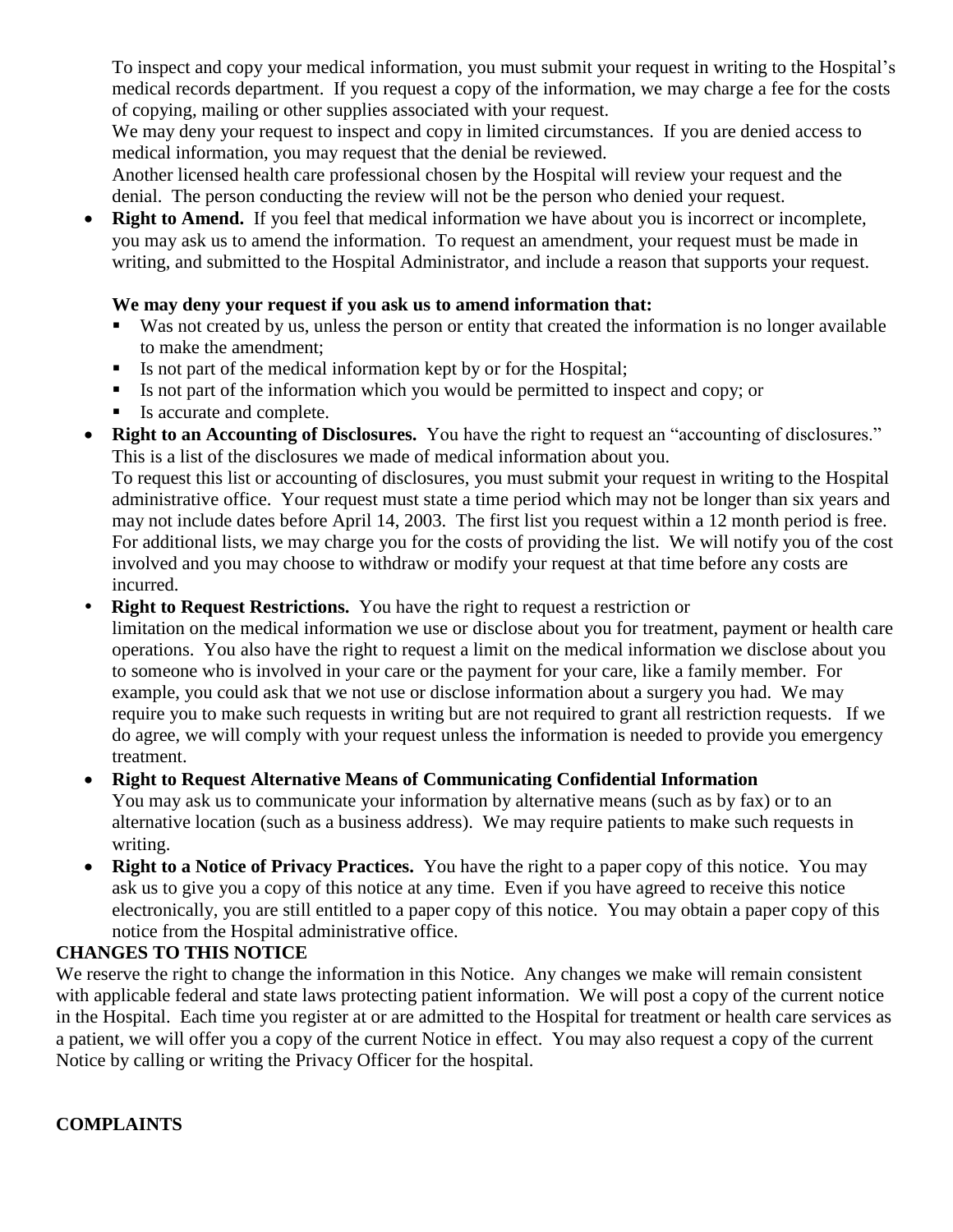To inspect and copy your medical information, you must submit your request in writing to the Hospital's medical records department. If you request a copy of the information, we may charge a fee for the costs of copying, mailing or other supplies associated with your request.

We may deny your request to inspect and copy in limited circumstances. If you are denied access to medical information, you may request that the denial be reviewed.

Another licensed health care professional chosen by the Hospital will review your request and the denial. The person conducting the review will not be the person who denied your request.

**Right to Amend.** If you feel that medical information we have about you is incorrect or incomplete, you may ask us to amend the information. To request an amendment, your request must be made in writing, and submitted to the Hospital Administrator, and include a reason that supports your request.

#### **We may deny your request if you ask us to amend information that:**

- Was not created by us, unless the person or entity that created the information is no longer available to make the amendment;
- Is not part of the medical information kept by or for the Hospital;
- Is not part of the information which you would be permitted to inspect and copy; or
- Is accurate and complete.
- **Right to an Accounting of Disclosures.** You have the right to request an "accounting of disclosures." This is a list of the disclosures we made of medical information about you.

To request this list or accounting of disclosures, you must submit your request in writing to the Hospital administrative office. Your request must state a time period which may not be longer than six years and may not include dates before April 14, 2003. The first list you request within a 12 month period is free. For additional lists, we may charge you for the costs of providing the list. We will notify you of the cost involved and you may choose to withdraw or modify your request at that time before any costs are incurred.

#### **Right to Request Restrictions.** You have the right to request a restriction or

limitation on the medical information we use or disclose about you for treatment, payment or health care operations. You also have the right to request a limit on the medical information we disclose about you to someone who is involved in your care or the payment for your care, like a family member. For example, you could ask that we not use or disclose information about a surgery you had. We may require you to make such requests in writing but are not required to grant all restriction requests. If we do agree, we will comply with your request unless the information is needed to provide you emergency treatment.

# • **Right to Request Alternative Means of Communicating Confidential Information**

You may ask us to communicate your information by alternative means (such as by fax) or to an alternative location (such as a business address). We may require patients to make such requests in writing.

• **Right to a Notice of Privacy Practices.** You have the right to a paper copy of this notice. You may ask us to give you a copy of this notice at any time. Even if you have agreed to receive this notice electronically, you are still entitled to a paper copy of this notice. You may obtain a paper copy of this notice from the Hospital administrative office.

### **CHANGES TO THIS NOTICE**

We reserve the right to change the information in this Notice. Any changes we make will remain consistent with applicable federal and state laws protecting patient information. We will post a copy of the current notice in the Hospital. Each time you register at or are admitted to the Hospital for treatment or health care services as a patient, we will offer you a copy of the current Notice in effect. You may also request a copy of the current Notice by calling or writing the Privacy Officer for the hospital.